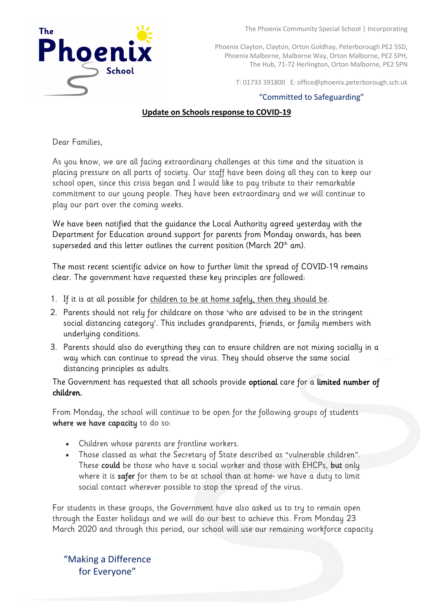

The Phoenix Community Special School | Incorporating

Phoenix Clayton, Clayton, Orton Goldhay, Peterborough PE2 5SD, Phoenix Malborne, Malborne Way, Orton Malborne, PE2 5PH, The Hub, 71-72 Herlington, Orton Malborne, PE2 5PN

T: 01733 391800 E: office@phoenix.peterborough.sch.uk

## "Committed to Safeguarding"

## **Update on Schools response to COVID-19**

Dear Families,

As you know, we are all facing extraordinary challenges at this time and the situation is placing pressure on all parts of society. Our staff have been doing all they can to keep our school open, since this crisis began and I would like to pay tribute to their remarkable commitment to our young people. They have been extraordinary and we will continue to play our part over the coming weeks.

We have been notified that the guidance the Local Authority agreed yesterday with the Department for Education around support for parents from Monday onwards, has been superseded and this letter outlines the current position (March  $20<sup>th</sup>$  am).

The most recent scientific advice on how to further limit the spread of COVID-19 remains clear. The government have requested these key principles are followed:

- 1. If it is at all possible for children to be at home safely, then they should be.
- 2. Parents should not rely for childcare on those 'who are advised to be in the stringent social distancing category'. This includes grandparents, friends, or family members with underlying conditions.
- 3. Parents should also do everything they can to ensure children are not mixing socially in a way which can continue to spread the virus. They should observe the same social distancing principles as adults.

The Government has requested that all schools provide optional care for a limited number of children.

From Monday, the school will continue to be open for the following groups of students where we have capacity to do so:

- Children whose parents are frontline workers.
- Those classed as what the Secretary of State described as "vulnerable children". These could be those who have a social worker and those with EHCPs, but only where it is safer for them to be at school than at home- we have a duty to limit social contact wherever possible to stop the spread of the virus.

For students in these groups, the Government have also asked us to try to remain open through the Easter holidays and we will do our best to achieve this. From Monday 23 March 2020 and through this period, our school will use our remaining workforce capacity

"Making a Difference for Everyone"